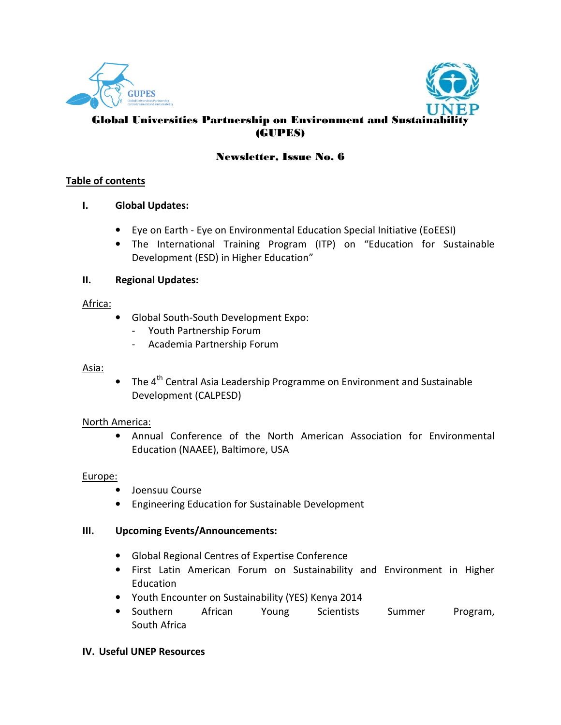



# Global Universities Partnership on Environment and Sustainability (GUPES)

# Newsletter, Issue No. 6

# **Table of contents**

# **I. Global Updates:**

- Eye on Earth Eye on Environmental Education Special Initiative (EoEESI)
- The International Training Program (ITP) on "Education for Sustainable Development (ESD) in Higher Education"

# **II. Regional Updates:**

# Africa:

- Global South-South Development Expo:
	- Youth Partnership Forum
	- Academia Partnership Forum

### Asia:

• The  $4<sup>th</sup>$  Central Asia Leadership Programme on Environment and Sustainable Development (CALPESD)

# North America:

• Annual Conference of the North American Association for Environmental Education (NAAEE), Baltimore, USA

# Europe:

- Joensuu Course
- Engineering Education for Sustainable Development

# **III. Upcoming Events/Announcements:**

- Global Regional Centres of Expertise Conference
- First Latin American Forum on Sustainability and Environment in Higher Education
- Youth Encounter on Sustainability (YES) Kenya 2014
- Southern African Young Scientists Summer Program, South Africa

# **IV. Useful UNEP Resources**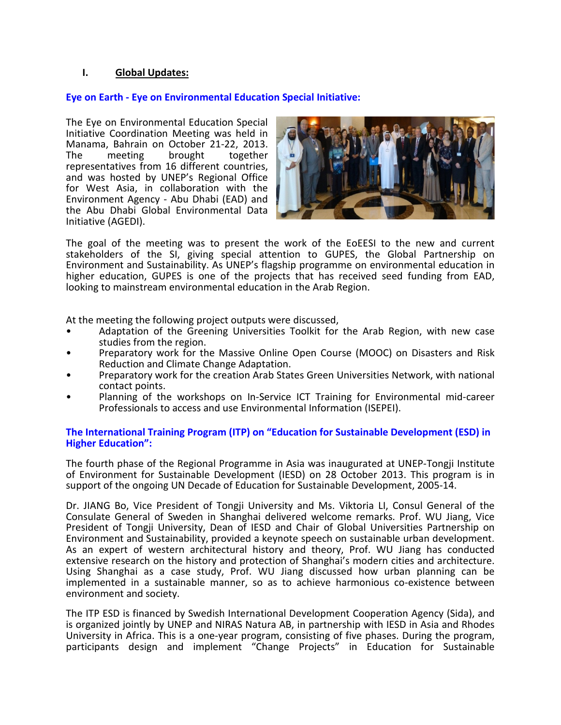# **I. Global Updates:**

# **Eye on Earth - Eye on Environmental Education Special Initiative:**

The Eye on Environmental Education Special Initiative Coordination Meeting was held in Manama, Bahrain on October 21-22, 2013. The meeting brought together representatives from 16 different countries, and was hosted by UNEP's Regional Office for West Asia, in collaboration with the Environment Agency - Abu Dhabi (EAD) and the Abu Dhabi Global Environmental Data Initiative (AGEDI).



The goal of the meeting was to present the work of the EoEESI to the new and current stakeholders of the SI, giving special attention to GUPES, the Global Partnership on Environment and Sustainability. As UNEP's flagship programme on environmental education in higher education, GUPES is one of the projects that has received seed funding from EAD, looking to mainstream environmental education in the Arab Region.

At the meeting the following project outputs were discussed,

- Adaptation of the Greening Universities Toolkit for the Arab Region, with new case studies from the region.
- Preparatory work for the Massive Online Open Course (MOOC) on Disasters and Risk Reduction and Climate Change Adaptation.
- Preparatory work for the creation Arab States Green Universities Network, with national contact points.
- Planning of the workshops on In-Service ICT Training for Environmental mid-career Professionals to access and use Environmental Information (ISEPEI).

#### **The International Training Program (ITP) on "Education for Sustainable Development (ESD) in Higher Education":**

The fourth phase of the Regional Programme in Asia was inaugurated at UNEP-Tongji Institute of Environment for Sustainable Development (IESD) on 28 October 2013. This program is in support of the ongoing UN Decade of Education for Sustainable Development, 2005-14.

Dr. JIANG Bo, Vice President of Tongji University and Ms. Viktoria LI, Consul General of the Consulate General of Sweden in Shanghai delivered welcome remarks. Prof. WU Jiang, Vice President of Tongji University, Dean of IESD and Chair of Global Universities Partnership on Environment and Sustainability, provided a keynote speech on sustainable urban development. As an expert of western architectural history and theory, Prof. WU Jiang has conducted extensive research on the history and protection of Shanghai's modern cities and architecture. Using Shanghai as a case study, Prof. WU Jiang discussed how urban planning can be implemented in a sustainable manner, so as to achieve harmonious co-existence between environment and society.

The ITP ESD is financed by Swedish International Development Cooperation Agency (Sida), and is organized jointly by UNEP and NIRAS Natura AB, in partnership with IESD in Asia and Rhodes University in Africa. This is a one-year program, consisting of five phases. During the program, participants design and implement "Change Projects" in Education for Sustainable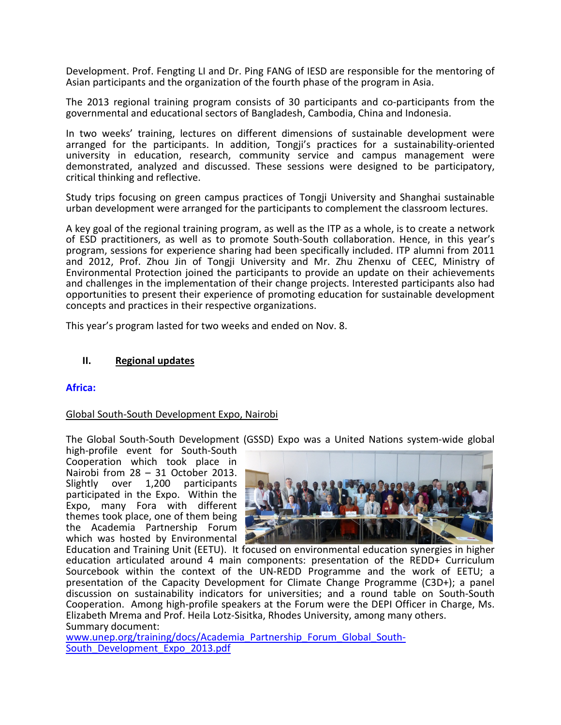Development. Prof. Fengting LI and Dr. Ping FANG of IESD are responsible for the mentoring of Asian participants and the organization of the fourth phase of the program in Asia.

The 2013 regional training program consists of 30 participants and co-participants from the governmental and educational sectors of Bangladesh, Cambodia, China and Indonesia.

In two weeks' training, lectures on different dimensions of sustainable development were arranged for the participants. In addition, Tongji's practices for a sustainability-oriented university in education, research, community service and campus management were demonstrated, analyzed and discussed. These sessions were designed to be participatory, critical thinking and reflective.

Study trips focusing on green campus practices of Tongji University and Shanghai sustainable urban development were arranged for the participants to complement the classroom lectures.

A key goal of the regional training program, as well as the ITP as a whole, is to create a network of ESD practitioners, as well as to promote South-South collaboration. Hence, in this year's program, sessions for experience sharing had been specifically included. ITP alumni from 2011 and 2012, Prof. Zhou Jin of Tongji University and Mr. Zhu Zhenxu of CEEC, Ministry of Environmental Protection joined the participants to provide an update on their achievements and challenges in the implementation of their change projects. Interested participants also had opportunities to present their experience of promoting education for sustainable development concepts and practices in their respective organizations.

This year's program lasted for two weeks and ended on Nov. 8.

#### **II. Regional updates**

#### **Africa:**

#### Global South-South Development Expo, Nairobi

The Global South-South Development (GSSD) Expo was a United Nations system-wide global

high-profile event for South-South Cooperation which took place in Nairobi from 28 – 31 October 2013.<br>Slightly over 1,200 participants Slightly over 1,200 participants participated in the Expo. Within the Expo, many Fora with different themes took place, one of them being the Academia Partnership Forum which was hosted by Environmental



Education and Training Unit (EETU). It focused on environmental education synergies in higher education articulated around 4 main components: presentation of the REDD+ Curriculum Sourcebook within the context of the UN-REDD Programme and the work of EETU; a presentation of the Capacity Development for Climate Change Programme (C3D+); a panel discussion on sustainability indicators for universities; and a round table on South-South Cooperation. Among high-profile speakers at the Forum were the DEPI Officer in Charge, Ms. Elizabeth Mrema and Prof. Heila Lotz-Sisitka, Rhodes University, among many others. Summary document:

www.unep.org/training/docs/Academia\_Partnership\_Forum\_Global\_South-South\_Development\_Expo\_2013.pdf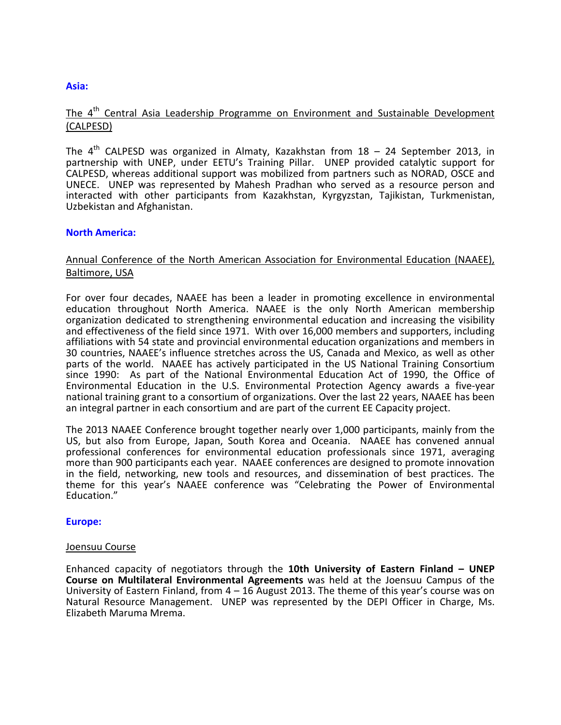#### **Asia:**

# The 4<sup>th</sup> Central Asia Leadership Programme on Environment and Sustainable Development (CALPESD)

The  $4<sup>th</sup>$  CALPESD was organized in Almaty, Kazakhstan from 18 – 24 September 2013, in partnership with UNEP, under EETU's Training Pillar. UNEP provided catalytic support for CALPESD, whereas additional support was mobilized from partners such as NORAD, OSCE and UNECE. UNEP was represented by Mahesh Pradhan who served as a resource person and interacted with other participants from Kazakhstan, Kyrgyzstan, Tajikistan, Turkmenistan, Uzbekistan and Afghanistan.

#### **North America:**

# Annual Conference of the North American Association for Environmental Education (NAAEE), Baltimore, USA

For over four decades, NAAEE has been a leader in promoting excellence in environmental education throughout North America. NAAEE is the only North American membership organization dedicated to strengthening environmental education and increasing the visibility and effectiveness of the field since 1971. With over 16,000 members and supporters, including affiliations with 54 state and provincial environmental education organizations and members in 30 countries, NAAEE's influence stretches across the US, Canada and Mexico, as well as other parts of the world. NAAEE has actively participated in the US National Training Consortium since 1990: As part of the National Environmental Education Act of 1990, the Office of Environmental Education in the U.S. Environmental Protection Agency awards a five-year national training grant to a consortium of organizations. Over the last 22 years, NAAEE has been an integral partner in each consortium and are part of the current EE Capacity project.

The 2013 NAAEE Conference brought together nearly over 1,000 participants, mainly from the US, but also from Europe, Japan, South Korea and Oceania. NAAEE has convened annual professional conferences for environmental education professionals since 1971, averaging more than 900 participants each year. NAAEE conferences are designed to promote innovation in the field, networking, new tools and resources, and dissemination of best practices. The theme for this year's NAAEE conference was "Celebrating the Power of Environmental Education."

#### **Europe:**

#### Joensuu Course

Enhanced capacity of negotiators through the **10th University of Eastern Finland – UNEP Course on Multilateral Environmental Agreements** was held at the Joensuu Campus of the University of Eastern Finland, from 4 – 16 August 2013. The theme of this year's course was on Natural Resource Management. UNEP was represented by the DEPI Officer in Charge, Ms. Elizabeth Maruma Mrema.